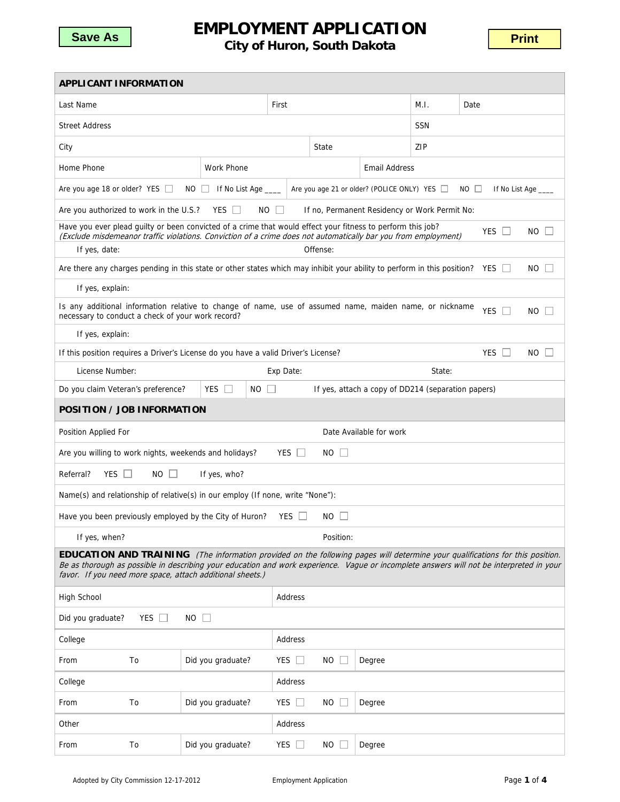

## **EMPLOYMENT APPLICATION CONSIGNATION CONSIDERITY AT TELOW CITY.**<br>City of Huron, South Dakota

| <b>APPLICANT INFORMATION</b>                                                                                                                                                                                                                                                                                                                  |                                                                                                                                    |                                                                                    |               |                                                    |        |            |                   |  |  |
|-----------------------------------------------------------------------------------------------------------------------------------------------------------------------------------------------------------------------------------------------------------------------------------------------------------------------------------------------|------------------------------------------------------------------------------------------------------------------------------------|------------------------------------------------------------------------------------|---------------|----------------------------------------------------|--------|------------|-------------------|--|--|
| Last Name                                                                                                                                                                                                                                                                                                                                     |                                                                                                                                    |                                                                                    | First         |                                                    |        |            | Date              |  |  |
| <b>Street Address</b>                                                                                                                                                                                                                                                                                                                         |                                                                                                                                    |                                                                                    |               |                                                    |        |            |                   |  |  |
| City                                                                                                                                                                                                                                                                                                                                          |                                                                                                                                    |                                                                                    |               | State                                              |        | <b>ZIP</b> |                   |  |  |
| Home Phone<br>Work Phone                                                                                                                                                                                                                                                                                                                      |                                                                                                                                    |                                                                                    |               | <b>Email Address</b>                               |        |            |                   |  |  |
| Are you age 21 or older? (POLICE ONLY) YES □<br>Are you age 18 or older? YES □<br>If No List Age ____<br>$NO$ $\Box$<br>$NO \Box$                                                                                                                                                                                                             |                                                                                                                                    |                                                                                    |               |                                                    |        |            | If No List Age    |  |  |
| Are you authorized to work in the U.S.?<br>YES $\Box$<br>NO.<br>If no, Permanent Residency or Work Permit No:                                                                                                                                                                                                                                 |                                                                                                                                    |                                                                                    |               |                                                    |        |            |                   |  |  |
| Have you ever plead guilty or been convicted of a crime that would effect your fitness to perform this job?<br>YES $\Box$<br>NO.<br>(Exclude misdemeanor traffic violations. Conviction of a crime does not automatically bar you from employment)                                                                                            |                                                                                                                                    |                                                                                    |               |                                                    |        |            |                   |  |  |
| If yes, date:                                                                                                                                                                                                                                                                                                                                 |                                                                                                                                    |                                                                                    |               | Offense:                                           |        |            |                   |  |  |
|                                                                                                                                                                                                                                                                                                                                               | Are there any charges pending in this state or other states which may inhibit your ability to perform in this position? YES<br>NO. |                                                                                    |               |                                                    |        |            |                   |  |  |
| If yes, explain:                                                                                                                                                                                                                                                                                                                              |                                                                                                                                    |                                                                                    |               |                                                    |        |            |                   |  |  |
| Is any additional information relative to change of name, use of assumed name, maiden name, or nickname<br><b>YES</b><br>$\perp$<br>NO.<br>necessary to conduct a check of your work record?                                                                                                                                                  |                                                                                                                                    |                                                                                    |               |                                                    |        |            |                   |  |  |
| If yes, explain:                                                                                                                                                                                                                                                                                                                              |                                                                                                                                    |                                                                                    |               |                                                    |        |            |                   |  |  |
|                                                                                                                                                                                                                                                                                                                                               |                                                                                                                                    | If this position requires a Driver's License do you have a valid Driver's License? |               |                                                    |        |            | <b>YES</b><br>NO. |  |  |
| License Number:                                                                                                                                                                                                                                                                                                                               |                                                                                                                                    |                                                                                    | Exp Date:     |                                                    |        |            |                   |  |  |
| Do you claim Veteran's preference?                                                                                                                                                                                                                                                                                                            |                                                                                                                                    | <b>YES</b><br>$\Box$<br>NO.                                                        |               | If yes, attach a copy of DD214 (separation papers) |        |            |                   |  |  |
| POSITION / JOB INFORMATION                                                                                                                                                                                                                                                                                                                    |                                                                                                                                    |                                                                                    |               |                                                    |        |            |                   |  |  |
| Position Applied For<br>Date Available for work                                                                                                                                                                                                                                                                                               |                                                                                                                                    |                                                                                    |               |                                                    |        |            |                   |  |  |
| YES $\Box$<br>Are you willing to work nights, weekends and holidays?<br>NO.                                                                                                                                                                                                                                                                   |                                                                                                                                    |                                                                                    |               |                                                    |        |            |                   |  |  |
| YES $\Box$<br>Referral?<br>$NO \Box$<br>If yes, who?                                                                                                                                                                                                                                                                                          |                                                                                                                                    |                                                                                    |               |                                                    |        |            |                   |  |  |
| Name(s) and relationship of relative(s) in our employ (If none, write "None"):                                                                                                                                                                                                                                                                |                                                                                                                                    |                                                                                    |               |                                                    |        |            |                   |  |  |
| Have you been previously employed by the City of Huron?<br>YES $\Box$<br>NO.                                                                                                                                                                                                                                                                  |                                                                                                                                    |                                                                                    |               |                                                    |        |            |                   |  |  |
| If yes, when?<br>Position:                                                                                                                                                                                                                                                                                                                    |                                                                                                                                    |                                                                                    |               |                                                    |        |            |                   |  |  |
| <b>EDUCATION AND TRAINING</b> (The information provided on the following pages will determine your qualifications for this position.<br>Be as thorough as possible in describing your education and work experience. Vague or incomplete answers will not be interpreted in your<br>favor. If you need more space, attach additional sheets.) |                                                                                                                                    |                                                                                    |               |                                                    |        |            |                   |  |  |
| <b>High School</b>                                                                                                                                                                                                                                                                                                                            |                                                                                                                                    |                                                                                    | Address       |                                                    |        |            |                   |  |  |
| Did you graduate?<br>YES $\Box$<br>$NO$ $\Box$                                                                                                                                                                                                                                                                                                |                                                                                                                                    |                                                                                    |               |                                                    |        |            |                   |  |  |
| Address<br>College                                                                                                                                                                                                                                                                                                                            |                                                                                                                                    |                                                                                    |               |                                                    |        |            |                   |  |  |
| From                                                                                                                                                                                                                                                                                                                                          | To                                                                                                                                 | Did you graduate?                                                                  | YES $\Box$    | $NO \Box$                                          | Degree |            |                   |  |  |
| College                                                                                                                                                                                                                                                                                                                                       |                                                                                                                                    |                                                                                    | Address       |                                                    |        |            |                   |  |  |
| From                                                                                                                                                                                                                                                                                                                                          | To                                                                                                                                 | Did you graduate?                                                                  | YES $\square$ | NO.                                                | Degree |            |                   |  |  |
| Other                                                                                                                                                                                                                                                                                                                                         |                                                                                                                                    |                                                                                    | Address       |                                                    |        |            |                   |  |  |
| From                                                                                                                                                                                                                                                                                                                                          | To                                                                                                                                 | Did you graduate?                                                                  | YES $\Box$    | NO.                                                | Degree |            |                   |  |  |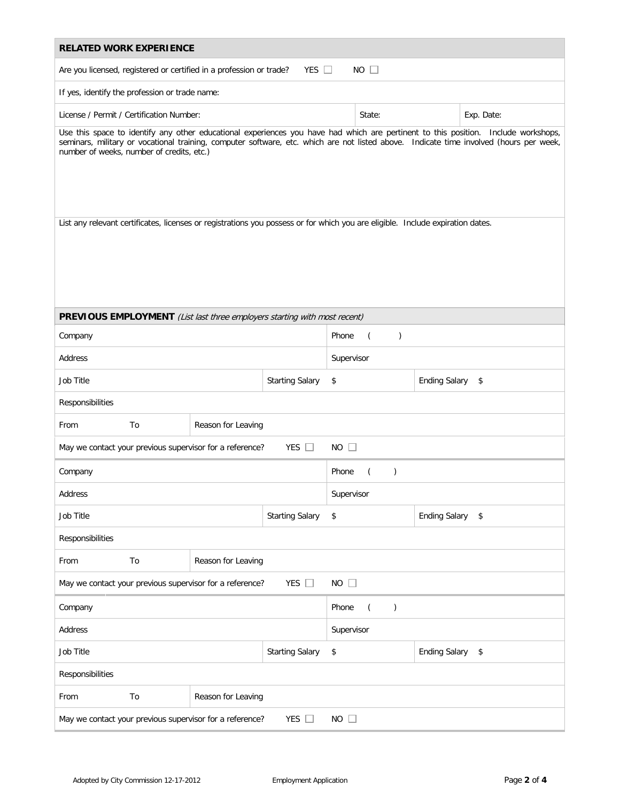| <b>RELATED WORK EXPERIENCE</b>                                                                                                                                                                                                                                                                                            |                                          |  |            |                                            |                  |            |  |  |
|---------------------------------------------------------------------------------------------------------------------------------------------------------------------------------------------------------------------------------------------------------------------------------------------------------------------------|------------------------------------------|--|------------|--------------------------------------------|------------------|------------|--|--|
| $NO$ $\Box$<br>YES $\Box$<br>Are you licensed, registered or certified in a profession or trade?                                                                                                                                                                                                                          |                                          |  |            |                                            |                  |            |  |  |
| If yes, identify the profession or trade name:                                                                                                                                                                                                                                                                            |                                          |  |            |                                            |                  |            |  |  |
|                                                                                                                                                                                                                                                                                                                           | License / Permit / Certification Number: |  |            |                                            |                  | Exp. Date: |  |  |
| Use this space to identify any other educational experiences you have had which are pertinent to this position. Include workshops,<br>seminars, military or vocational training, computer software, etc. which are not listed above. Indicate time involved (hours per week,<br>number of weeks, number of credits, etc.) |                                          |  |            |                                            |                  |            |  |  |
| List any relevant certificates, licenses or registrations you possess or for which you are eligible. Include expiration dates.                                                                                                                                                                                            |                                          |  |            |                                            |                  |            |  |  |
| PREVIOUS EMPLOYMENT (List last three employers starting with most recent)                                                                                                                                                                                                                                                 |                                          |  |            |                                            |                  |            |  |  |
| Company                                                                                                                                                                                                                                                                                                                   |                                          |  |            | Phone<br>$\overline{(\ }$<br>$\mathcal{C}$ |                  |            |  |  |
| Address                                                                                                                                                                                                                                                                                                                   |                                          |  | Supervisor |                                            |                  |            |  |  |
| Job Title<br><b>Starting Salary</b>                                                                                                                                                                                                                                                                                       |                                          |  |            | \$<br><b>Ending Salary</b><br>\$           |                  |            |  |  |
| Responsibilities                                                                                                                                                                                                                                                                                                          |                                          |  |            |                                            |                  |            |  |  |
| From                                                                                                                                                                                                                                                                                                                      | To<br>Reason for Leaving                 |  |            |                                            |                  |            |  |  |
| YES $\Box$<br>$NO$ $\Box$<br>May we contact your previous supervisor for a reference?                                                                                                                                                                                                                                     |                                          |  |            |                                            |                  |            |  |  |
| Company                                                                                                                                                                                                                                                                                                                   |                                          |  |            | Phone<br>$\left($<br>$\lambda$             |                  |            |  |  |
| Address                                                                                                                                                                                                                                                                                                                   |                                          |  |            | Supervisor                                 |                  |            |  |  |
| Job Title                                                                                                                                                                                                                                                                                                                 | <b>Starting Salary</b>                   |  |            | Ending Salary \$<br>\$                     |                  |            |  |  |
| Responsibilities                                                                                                                                                                                                                                                                                                          |                                          |  |            |                                            |                  |            |  |  |
| To<br>From                                                                                                                                                                                                                                                                                                                | Reason for Leaving                       |  |            |                                            |                  |            |  |  |
| YES $\square$<br>$NO$ $\Box$<br>May we contact your previous supervisor for a reference?                                                                                                                                                                                                                                  |                                          |  |            |                                            |                  |            |  |  |
| Company                                                                                                                                                                                                                                                                                                                   |                                          |  |            | $\mathcal{E}$<br>Phone<br>$\left($         |                  |            |  |  |
| Address                                                                                                                                                                                                                                                                                                                   |                                          |  |            | Supervisor                                 |                  |            |  |  |
| Job Title<br><b>Starting Salary</b>                                                                                                                                                                                                                                                                                       |                                          |  | \$         |                                            | Ending Salary \$ |            |  |  |
| Responsibilities                                                                                                                                                                                                                                                                                                          |                                          |  |            |                                            |                  |            |  |  |
| To<br>From                                                                                                                                                                                                                                                                                                                | Reason for Leaving                       |  |            |                                            |                  |            |  |  |
| May we contact your previous supervisor for a reference?<br>YES $\Box$<br>$NO$ $\Box$                                                                                                                                                                                                                                     |                                          |  |            |                                            |                  |            |  |  |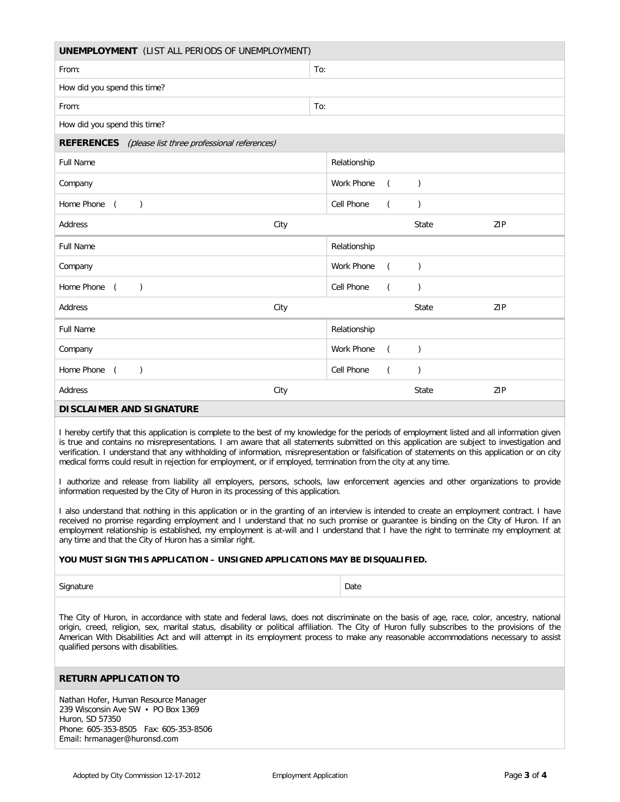| <b>UNEMPLOYMENT</b> (LIST ALL PERIODS OF UNEMPLOYMENT)                                                                                                                                                                                                                                                                                                                                                                                                                                                                                                                                                                                                                                                 |     |                   |                  |               |     |  |  |  |
|--------------------------------------------------------------------------------------------------------------------------------------------------------------------------------------------------------------------------------------------------------------------------------------------------------------------------------------------------------------------------------------------------------------------------------------------------------------------------------------------------------------------------------------------------------------------------------------------------------------------------------------------------------------------------------------------------------|-----|-------------------|------------------|---------------|-----|--|--|--|
| From:                                                                                                                                                                                                                                                                                                                                                                                                                                                                                                                                                                                                                                                                                                  | To: |                   |                  |               |     |  |  |  |
| How did you spend this time?                                                                                                                                                                                                                                                                                                                                                                                                                                                                                                                                                                                                                                                                           |     |                   |                  |               |     |  |  |  |
| From:                                                                                                                                                                                                                                                                                                                                                                                                                                                                                                                                                                                                                                                                                                  | To: |                   |                  |               |     |  |  |  |
| How did you spend this time?                                                                                                                                                                                                                                                                                                                                                                                                                                                                                                                                                                                                                                                                           |     |                   |                  |               |     |  |  |  |
| <b>REFERENCES</b> (please list three professional references)                                                                                                                                                                                                                                                                                                                                                                                                                                                                                                                                                                                                                                          |     |                   |                  |               |     |  |  |  |
| <b>Full Name</b>                                                                                                                                                                                                                                                                                                                                                                                                                                                                                                                                                                                                                                                                                       |     | Relationship      |                  |               |     |  |  |  |
| Company                                                                                                                                                                                                                                                                                                                                                                                                                                                                                                                                                                                                                                                                                                |     | <b>Work Phone</b> | $\overline{(\ }$ | $\mathcal{L}$ |     |  |  |  |
| Home Phone (<br>$\lambda$                                                                                                                                                                                                                                                                                                                                                                                                                                                                                                                                                                                                                                                                              |     | Cell Phone        | (                | $\mathcal{L}$ |     |  |  |  |
| Address<br>City                                                                                                                                                                                                                                                                                                                                                                                                                                                                                                                                                                                                                                                                                        |     |                   |                  | State         | ZIP |  |  |  |
| <b>Full Name</b>                                                                                                                                                                                                                                                                                                                                                                                                                                                                                                                                                                                                                                                                                       |     | Relationship      |                  |               |     |  |  |  |
| Company                                                                                                                                                                                                                                                                                                                                                                                                                                                                                                                                                                                                                                                                                                |     | Work Phone        | $\left($         | $\mathcal{C}$ |     |  |  |  |
| Home Phone (<br>$\lambda$                                                                                                                                                                                                                                                                                                                                                                                                                                                                                                                                                                                                                                                                              |     | Cell Phone        | (                | $\mathcal{L}$ |     |  |  |  |
| Address<br>City                                                                                                                                                                                                                                                                                                                                                                                                                                                                                                                                                                                                                                                                                        |     |                   |                  | State         | ZIP |  |  |  |
| <b>Full Name</b>                                                                                                                                                                                                                                                                                                                                                                                                                                                                                                                                                                                                                                                                                       |     | Relationship      |                  |               |     |  |  |  |
| Company                                                                                                                                                                                                                                                                                                                                                                                                                                                                                                                                                                                                                                                                                                |     | Work Phone        | (                | $\mathcal{C}$ |     |  |  |  |
| Home Phone (<br>$\lambda$                                                                                                                                                                                                                                                                                                                                                                                                                                                                                                                                                                                                                                                                              |     | Cell Phone        | (                | $\lambda$     |     |  |  |  |
| Address<br>City                                                                                                                                                                                                                                                                                                                                                                                                                                                                                                                                                                                                                                                                                        |     |                   |                  | State         | ZIP |  |  |  |
| <b>DISCLAIMER AND SIGNATURE</b>                                                                                                                                                                                                                                                                                                                                                                                                                                                                                                                                                                                                                                                                        |     |                   |                  |               |     |  |  |  |
| I hereby certify that this application is complete to the best of my knowledge for the periods of employment listed and all information given<br>is true and contains no misrepresentations. I am aware that all statements submitted on this application are subject to investigation and<br>verification. I understand that any withholding of information, misrepresentation or falsification of statements on this application or on city<br>medical forms could result in rejection for employment, or if employed, termination from the city at any time.<br>L authorize and release from liability all employers, persons, schools, law enforcement agencies and other organizations to provide |     |                   |                  |               |     |  |  |  |

I authorize and release from liability all employers, persons, schools, law enforcement agencies and other organizations to provide information requested by the City of Huron in its processing of this application.

I also understand that nothing in this application or in the granting of an interview is intended to create an employment contract. I have received no promise regarding employment and I understand that no such promise or guarantee is binding on the City of Huron. If an employment relationship is established, my employment is at-will and I understand that I have the right to terminate my employment at any time and that the City of Huron has a similar right.

## **YOU MUST SIGN THIS APPLICATION – UNSIGNED APPLICATIONS MAY BE DISQUALIFIED.**

Signature Date

The City of Huron, in accordance with state and federal laws, does not discriminate on the basis of age, race, color, ancestry, national origin, creed, religion, sex, marital status, disability or political affiliation. The City of Huron fully subscribes to the provisions of the American With Disabilities Act and will attempt in its employment process to make any reasonable accommodations necessary to assist qualified persons with disabilities.

## **RETURN APPLICATION TO**

Nathan Hofer, Human Resource Manager 239 Wisconsin Ave SW • PO Box 1369 Huron, SD 57350 Phone: 605-353-8505 Fax: 605-353-8506 Email: hrmanager@huronsd.com